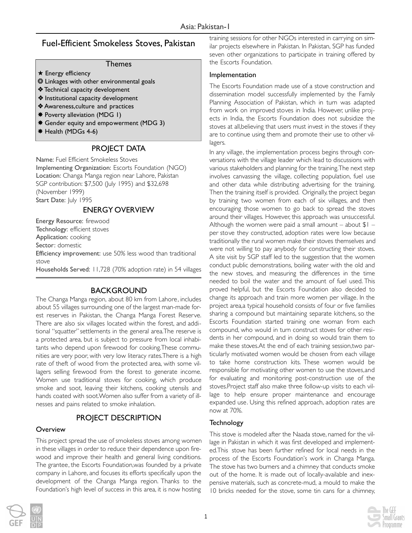# Fuel-Efficient Smokeless Stoves, Pakistan

### Themes

- **★ Energy efficiency**
- ❂ Linkages with other environmental goals
- ❖ Technical capacity development
- ❖ Institutional capacity development
- ❖ Awareness,culture and practices
- ✸ Poverty alleviation (MDG 1)
- ✸ Gender equity and empowerment (MDG 3)
- ✸ Health (MDGs 4-6)

## PROJECT DATA

Name: Fuel Efficient Smokeless Stoves Implementing Organization: Escorts Foundation (NGO) Location: Changa Manga region near Lahore, Pakistan SGP contribution: \$7,500 (July 1995) and \$32,698 (November 1999) Start Date: July 1995

ENERGY OVERVIEW

Energy Resource: firewood Technology: efficient stoves Application: cooking Sector: domestic

Efficiency improvement: use 50% less wood than traditional stove

Households Served: 11,728 (70% adoption rate) in 54 villages

## BACKGROUND

The Changa Manga region, about 80 km from Lahore , includes about 55 villages surrounding one of the largest man-made forest reserves in Pakistan, the Changa Manga Forest Reserve. There are also six villages located within the forest, and additional "squatter" settlements in the general area.The reserve is a protected area, but is subject to pressure from local inhabitants who depend upon firewood for cooking.These communities are very poor, with very low literacy rates.There is a high rate of theft of wood from the protected area, with some villagers selling firewood from the forest to generate income. Women use traditional stoves for cooking, which produce smoke and soot, leaving their kitchens, cooking utensils and hands coated with soot.Women also suffer from a variety of illnesses and pains related to smoke inhalation.

# PROJECT DESCRIPTION

#### **Overview**

This project spread the use of smokeless stoves among women in these villages in order to reduce their dependence upon firewood and improve their health and general living conditions. The grantee, the Escorts Foundation,was founded by a private company in Lahore, and focuses its efforts specifically upon the development of the Changa Manga region. Thanks to the Foundation's high level of success in this area, it is now hosting

training sessions for other NGOs interested in carrying on similar projects elsewhere in Pakistan. In Pakistan, SGP has funded seven other organizations to participate in training offered by the Escorts Foundation.

#### Implementation

The Escorts Foundation made use of a stove construction and dissemination model successfully implemented by the Family Planning Association of Pakistan, which in turn was adapted from work on improved stoves in India. However, unlike projects in India, the Escorts Foundation does not subsidize the stoves at all,believing that users must invest in the stoves if they are to continue using them and promote their use to other villagers.

In any village, the implementation process begins through conversations with the village leader which lead to discussions with various stakeholders and planning for the training.The next step involves canvassing the village, collecting population, fuel use and other data while distributing advertising for the training. Then the training itself is provided. Originally, the project began by training two women from each of six villages, and then encouraging those women to go back to spread the stoves around their villages. However, this approach was unsuccessful. Although the women were paid a small amount – about  $$1$ per stove they constructed, adoption rates were low because traditionally the rural women make their stoves themselves and were not willing to pay anybody for constructing their stoves. A site visit by SGP staff led to the suggestion that the women conduct public demonstrations, boiling water with the old and the new stoves, and measuring the differences in the time needed to boil the water and the amount of fuel used. This proved helpful, but the Escorts Foundation also decided to change its approach and train more women per village. In the project area,a typical household consists of four or five families sharing a compound but maintaining separate kitchens, so the Escorts Foundation started training one woman from each compound, who would in turn construct stoves for other residents in her compound, and in doing so would train them to make these stoves.At the end of each training session,two particularly motivated women would be chosen from each village to take home construction kits. These women would be responsible for motivating other women to use the stoves,and for evaluating and monitoring post-construction use of the stoves.Project staff also make three follow-up visits to each village to help ensure proper maintenance and encourage expanded use. Using this refined approach, adoption rates are now at 70%.

### Technology

This stove is modeled after the Naada stove, named for the village in Pakistan in which it was first developed and implemented.This stove has been further refined for local needs in the process of the Escorts Foundation's work in Changa Manga. The stove has two burners and a chimney that conducts smoke out of the home. It is made out of locally-available and inexpensive materials, such as concrete-mud, a mould to make the 10 bricks needed for the stove, some tin cans for a chimney,



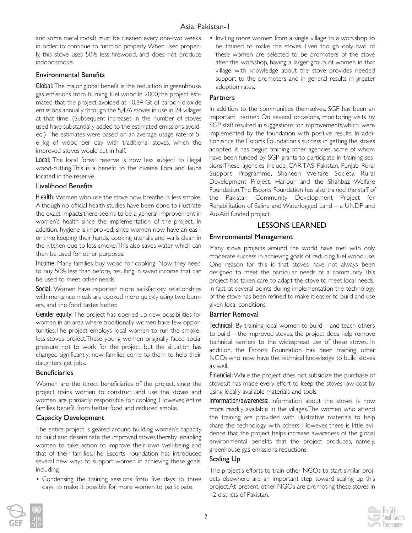## Asia: Pakistan-1

and some metal rods.It must be cleaned every one-two weeks in order to continue to function properly. When used properly, this stove uses 50% less firewood, and does not produce indoor smoke.

#### Environmental Benefits

*Global:* The major global benefit is the reduction in greenhouse gas emissions from burning fuel wood.In 2000,the project estimated that the project avoided at 10.84 Gt of carbon dioxide emissions annually through the 5,476 stoves in use in 24 villages at that time. (Subsequent increases in the number of stoves used have substantially added to the estimated emissions avoided.) The estimates were based on an average usage rate of 5- 6 kg of wood per day with traditional stoves, which the improved stoves would cut in half.

Local: The local forest reserve is now less subject to illegal wood-cutting.This is a benefit to the diverse flora and fauna located in the reser ve.

#### Livelihood Benefits

*Health:* Women who use the stove now breathe in less smoke. Although no official health studies have been done to illustrate the exact impacts,there seems to be a general improvement in women's health since the implementation of the project. In addition, hygiene is impro ved, since women now have an easier time keeping their hands, cooking utensils and walls clean in the kitchen due to less smoke.This also saves water, which can then be used for other purposes.

*Income:* Many families buy wood for cooking. Now, they need to buy 50% less than before, resulting in saved income that can be used to meet other needs.

*Social:* Women have reported more satisfactory relationships with men,since meals are cooked more quickly using two burners, and the food tastes better.

*Gender equity:* The project has opened up new possibilities for women in an area where traditionally women have few opportunities.The project employs local women to run the smokeless stoves project.These young women originally faced social pressure not to work for the project, but the situation has changed significantly; now families come to them to help their daughters get jobs.

#### **Beneficiaries**

Women are the direct beneficiaries of the project, since the project trains women to construct and use the stoves and women are primarily responsible for cooking. However, entire families benefit from better food and reduced smoke.

### Capacity Development

The entire project is geared around building women's capacity to build and disseminate the improved stoves,thereby enabling women to take action to improve their own well-being and that of their families.The Escorts Foundation has introduced several new ways to support women in achieving these goals, including:

• Condensing the training sessions from five days to three days, to make it possible for more women to participate.

• Inviting more women from a single village to a workshop to be trained to make the stoves. Even though only two of these women are selected to be promoters of the stove after the workshop, having a larger group of women in that village with knowledge about the stove provides needed support to the promoters and in general results in greater adoption rates.

#### **Partners**

In addition to the communities themselves, SGP has been an important partner. On several occasions, monitoring visits by SGP staff resulted in suggestions for improvements,which were implemented by the foundation with positive results. In addition,since the Escorts Foundation's success in getting the stoves adopted, it has begun training other agencies, some of whom have been funded by SGP grants to participate in training sessions.These agencies include CARITAS Pakistan, Punjab Rural Support Programme, Shaheen Welfare Society, Rural Development Project, Haripur and the Shahbaz Welfare Foundation.The Escorts Foundation has also trained the staff of the Pakistan Community Development Project for Rehabilitation of Saline and Waterlogged Land – a UNDP and AusAid funded project.

## LESSONS LEARNED

# Environmental Management

Many stove projects around the world have met with only moderate success in achieving goals of reducing fuel wood use. One reason for this is that stoves have not always been designed to meet the particular needs of a community. This project has taken care to adapt the stove to meet local needs. In fact, at several points during implementation the technology of the stove has been refined to make it easier to build and use given local conditions.

#### Barrier Removal

*Technical:* By training local women to build – and teach others to build – the improved stoves, the project does help remove technical barriers to the widespread use of these stoves. In addition, the Escorts Foundation has been training other NGOs,who now have the technical knowledge to build stoves as well.

*Financial:* While the project does not subsidize the purchase of stoves,it has made every effort to keep the stoves low-cost by using locally available materials and tools.

*Information/awareness:* Information about the stoves is now more readily available in the villages.The women who attend the training are provided with illustrative materials to help share the technology with others. However, there is little evidence that the project helps increase awareness of the global environmental benefits that the project produces, namely, greenhouse gas emissions reductions.

### Scaling Up

The project's efforts to train other NGOs to start similar projects elsewhere are an important step toward scaling up this project.At present, other NGOs are promoting these stoves in 12 districts of Pakistan.